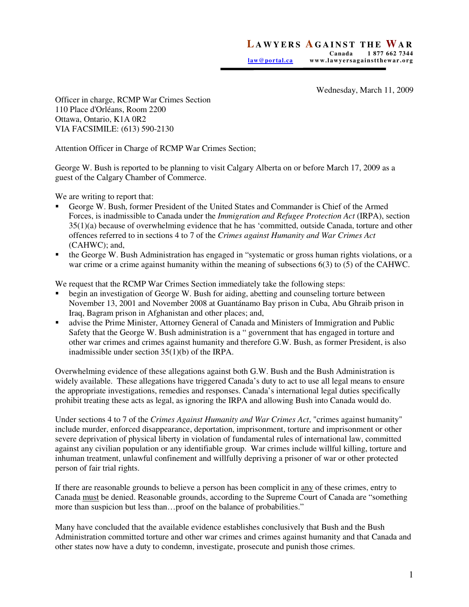Wednesday, March 11, 2009

Officer in charge, RCMP War Crimes Section 110 Place d'Orléans, Room 2200 Ottawa, Ontario, K1A 0R2 VIA FACSIMILE: (613) 590-2130

Attention Officer in Charge of RCMP War Crimes Section;

George W. Bush is reported to be planning to visit Calgary Alberta on or before March 17, 2009 as a guest of the Calgary Chamber of Commerce.

We are writing to report that:

- George W. Bush, former President of the United States and Commander is Chief of the Armed Forces, is inadmissible to Canada under the *Immigration and Refugee Protection Act* (IRPA), section 35(1)(a) because of overwhelming evidence that he has 'committed, outside Canada, torture and other offences referred to in sections 4 to 7 of the *Crimes against Humanity and War Crimes Act*  (CAHWC); and,
- the George W. Bush Administration has engaged in "systematic or gross human rights violations, or a war crime or a crime against humanity within the meaning of subsections 6(3) to (5) of the CAHWC.

We request that the RCMP War Crimes Section immediately take the following steps:

- begin an investigation of George W. Bush for aiding, abetting and counseling torture between November 13, 2001 and November 2008 at Guantánamo Bay prison in Cuba, Abu Ghraib prison in Iraq, Bagram prison in Afghanistan and other places; and,
- advise the Prime Minister, Attorney General of Canada and Ministers of Immigration and Public Safety that the George W. Bush administration is a " government that has engaged in torture and other war crimes and crimes against humanity and therefore G.W. Bush, as former President, is also inadmissible under section 35(1)(b) of the IRPA.

Overwhelming evidence of these allegations against both G.W. Bush and the Bush Administration is widely available. These allegations have triggered Canada's duty to act to use all legal means to ensure the appropriate investigations, remedies and responses. Canada's international legal duties specifically prohibit treating these acts as legal, as ignoring the IRPA and allowing Bush into Canada would do.

Under sections 4 to 7 of the *Crimes Against Humanity and War Crimes Act*, "crimes against humanity" include murder, enforced disappearance, deportation, imprisonment, torture and imprisonment or other severe deprivation of physical liberty in violation of fundamental rules of international law, committed against any civilian population or any identifiable group. War crimes include willful killing, torture and inhuman treatment, unlawful confinement and willfully depriving a prisoner of war or other protected person of fair trial rights.

If there are reasonable grounds to believe a person has been complicit in any of these crimes, entry to Canada must be denied. Reasonable grounds, according to the Supreme Court of Canada are "something more than suspicion but less than…proof on the balance of probabilities."

Many have concluded that the available evidence establishes conclusively that Bush and the Bush Administration committed torture and other war crimes and crimes against humanity and that Canada and other states now have a duty to condemn, investigate, prosecute and punish those crimes.